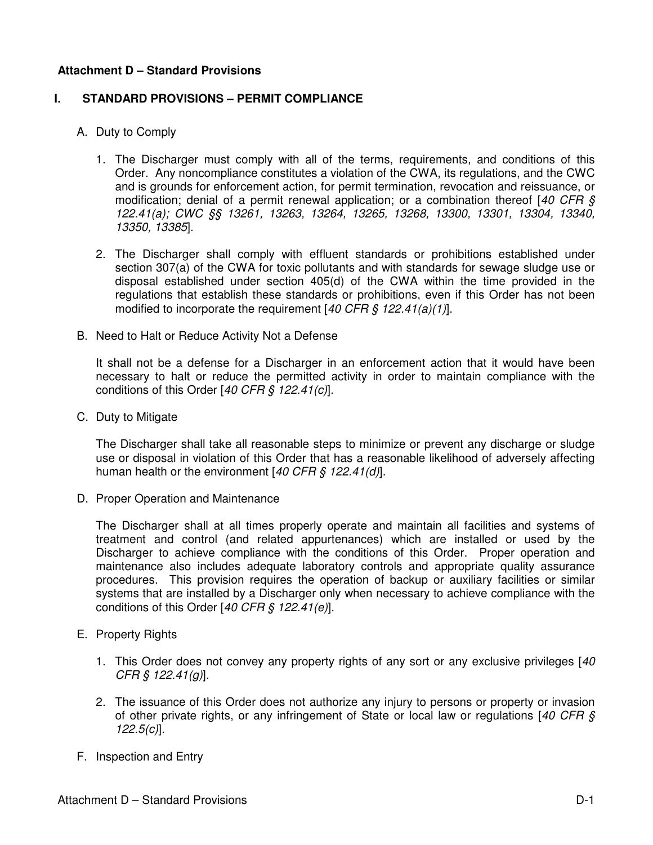### **Attachment D – Standard Provisions**

#### **I. STANDARD PROVISIONS – PERMIT COMPLIANCE**

- A. Duty to Comply
	- 1. The Discharger must comply with all of the terms, requirements, and conditions of this Order. Any noncompliance constitutes a violation of the CWA, its regulations, and the CWC and is grounds for enforcement action, for permit termination, revocation and reissuance, or modification; denial of a permit renewal application; or a combination thereof  $[40 \text{ CFR } \text{S}$ 122.41(a); CWC §§ 13261, 13263, 13264, 13265, 13268, 13300, 13301, 13304, 13340, 13350, 13385].
	- 2. The Discharger shall comply with effluent standards or prohibitions established under section 307(a) of the CWA for toxic pollutants and with standards for sewage sludge use or disposal established under section 405(d) of the CWA within the time provided in the regulations that establish these standards or prohibitions, even if this Order has not been modified to incorporate the requirement [40 CFR § 122.41(a)(1)].
- B. Need to Halt or Reduce Activity Not a Defense

It shall not be a defense for a Discharger in an enforcement action that it would have been necessary to halt or reduce the permitted activity in order to maintain compliance with the conditions of this Order [40 CFR  $\frac{6}{5}$  122.41(c)].

C. Duty to Mitigate

The Discharger shall take all reasonable steps to minimize or prevent any discharge or sludge use or disposal in violation of this Order that has a reasonable likelihood of adversely affecting human health or the environment  $[40 CFR \, \xi \, 122.41(d)].$ 

D. Proper Operation and Maintenance

The Discharger shall at all times properly operate and maintain all facilities and systems of treatment and control (and related appurtenances) which are installed or used by the Discharger to achieve compliance with the conditions of this Order. Proper operation and maintenance also includes adequate laboratory controls and appropriate quality assurance procedures. This provision requires the operation of backup or auxiliary facilities or similar systems that are installed by a Discharger only when necessary to achieve compliance with the conditions of this Order [40 CFR § 122.41(e)].

- E. Property Rights
	- 1. This Order does not convey any property rights of any sort or any exclusive privileges [40] CFR § 122.41(g)].
	- 2. The issuance of this Order does not authorize any injury to persons or property or invasion of other private rights, or any infringement of State or local law or regulations [40 CFR  $\zeta$ 122.5(c)].
- F. Inspection and Entry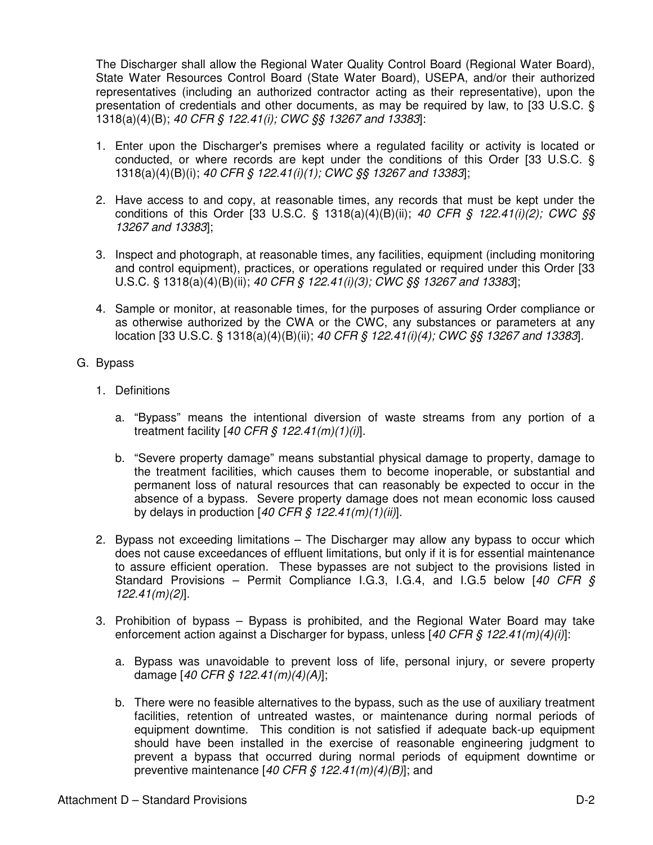The Discharger shall allow the Regional Water Quality Control Board (Regional Water Board), State Water Resources Control Board (State Water Board), USEPA, and/or their authorized representatives (including an authorized contractor acting as their representative), upon the presentation of credentials and other documents, as may be required by law, to [33 U.S.C. § 1318(a)(4)(B); 40 CFR § 122.41(i); CWC §§ 13267 and 13383]:

- 1. Enter upon the Discharger's premises where a regulated facility or activity is located or conducted, or where records are kept under the conditions of this Order [33 U.S.C. § 1318(a)(4)(B)(i); 40 CFR § 122.41(i)(1); CWC §§ 13267 and 13383];
- 2. Have access to and copy, at reasonable times, any records that must be kept under the conditions of this Order [33 U.S.C. § 1318(a)(4)(B)(ii); 40 CFR § 122.41(i)(2); CWC §§ 13267 and 13383];
- 3. Inspect and photograph, at reasonable times, any facilities, equipment (including monitoring and control equipment), practices, or operations regulated or required under this Order [33 U.S.C. § 1318(a)(4)(B)(ii); 40 CFR § 122.41(i)(3); CWC §§ 13267 and 13383];
- 4. Sample or monitor, at reasonable times, for the purposes of assuring Order compliance or as otherwise authorized by the CWA or the CWC, any substances or parameters at any location [33 U.S.C. § 1318(a)(4)(B)(ii); 40 CFR § 122.41(i)(4); CWC §§ 13267 and 13383].
- G. Bypass
	- 1. Definitions
		- a. "Bypass" means the intentional diversion of waste streams from any portion of a treatment facility  $[40 \text{ CFR} \text{ } \text{\textit{S}} \text{ } 122.41 \text{ } (m)(1)(i)].$
		- b. "Severe property damage" means substantial physical damage to property, damage to the treatment facilities, which causes them to become inoperable, or substantial and permanent loss of natural resources that can reasonably be expected to occur in the absence of a bypass. Severe property damage does not mean economic loss caused by delays in production  $[40 \text{ CFR}$  \$  $122.41 \text{ (m)}(1) \text{ (ii)}]$ .
	- 2. Bypass not exceeding limitations The Discharger may allow any bypass to occur which does not cause exceedances of effluent limitations, but only if it is for essential maintenance to assure efficient operation. These bypasses are not subject to the provisions listed in Standard Provisions – Permit Compliance I.G.3, I.G.4, and I.G.5 below  $[40 \text{ CFR } \text{S}$ 122.41(m)(2)].
	- 3. Prohibition of bypass Bypass is prohibited, and the Regional Water Board may take enforcement action against a Discharger for bypass, unless  $[40 CFR \, \xi \, 122.41(m)(4)(i)]$ :
		- a. Bypass was unavoidable to prevent loss of life, personal injury, or severe property damage  $[40 \text{ CFR} \, \text{S} \, 122.41 \, \text{(m)} \, \text{(4)} \, \text{(A)}]$ ;
		- b. There were no feasible alternatives to the bypass, such as the use of auxiliary treatment facilities, retention of untreated wastes, or maintenance during normal periods of equipment downtime. This condition is not satisfied if adequate back-up equipment should have been installed in the exercise of reasonable engineering judgment to prevent a bypass that occurred during normal periods of equipment downtime or preventive maintenance  $[40 \text{ CFR} \text{ } \text{\textless} 122.41 \text{ } (m)(4)(B)]$ ; and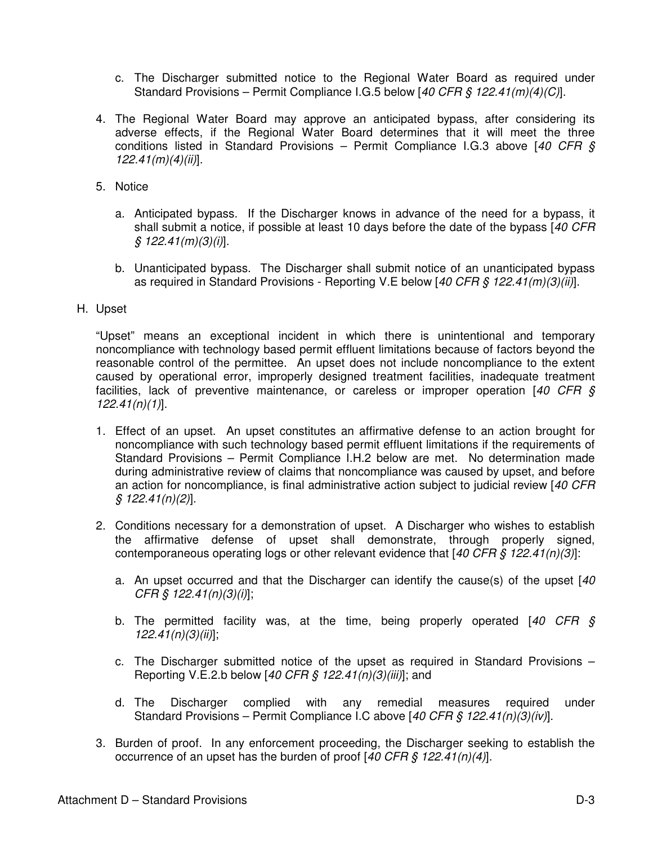- c. The Discharger submitted notice to the Regional Water Board as required under Standard Provisions – Permit Compliance I.G.5 below [40 CFR § 122.41(m)(4)(C)].
- 4. The Regional Water Board may approve an anticipated bypass, after considering its adverse effects, if the Regional Water Board determines that it will meet the three conditions listed in Standard Provisions – Permit Compliance I.G.3 above [40 CFR  $\S$  $122.41(m)(4)(ii)$ ].
- 5. Notice
	- a. Anticipated bypass. If the Discharger knows in advance of the need for a bypass, it shall submit a notice, if possible at least 10 days before the date of the bypass [40 CFR]  $$ 122.41(m)(3)(i)].$
	- b. Unanticipated bypass. The Discharger shall submit notice of an unanticipated bypass as required in Standard Provisions - Reporting V.E below [40 CFR § 122.41(m)(3)(ii)].
- H. Upset

"Upset" means an exceptional incident in which there is unintentional and temporary noncompliance with technology based permit effluent limitations because of factors beyond the reasonable control of the permittee. An upset does not include noncompliance to the extent caused by operational error, improperly designed treatment facilities, inadequate treatment facilities, lack of preventive maintenance, or careless or improper operation  $[40 \text{ CFR } \text{S}$  $122.41(n)(1)$ ].

- 1. Effect of an upset. An upset constitutes an affirmative defense to an action brought for noncompliance with such technology based permit effluent limitations if the requirements of Standard Provisions – Permit Compliance I.H.2 below are met. No determination made during administrative review of claims that noncompliance was caused by upset, and before an action for noncompliance, is final administrative action subject to judicial review [40 CFR  $$ 122.41(n)(2)].$
- 2. Conditions necessary for a demonstration of upset. A Discharger who wishes to establish the affirmative defense of upset shall demonstrate, through properly signed, contemporaneous operating logs or other relevant evidence that  $[40 \text{ CFR} \text{ } \text{ } $122.41(n)/3]$ :
	- a. An upset occurred and that the Discharger can identify the cause(s) of the upset [40]  $CFR \, \S \, 122.41(n)(3)(i)$
	- b. The permitted facility was, at the time, being properly operated  $[40 \text{ CFR } \S$  $122.41(n)(3)(ii)$ ;
	- c. The Discharger submitted notice of the upset as required in Standard Provisions Reporting V.E.2.b below [40 CFR § 122.41(n)(3)(iii)]; and
	- d. The Discharger complied with any remedial measures required under Standard Provisions – Permit Compliance I.C above [40 CFR § 122.41(n)(3)(iv)].
- 3. Burden of proof. In any enforcement proceeding, the Discharger seeking to establish the occurrence of an upset has the burden of proof  $[40 \text{ CFR } \frac{6}{5} \frac{122.41(n)}{4}]$ .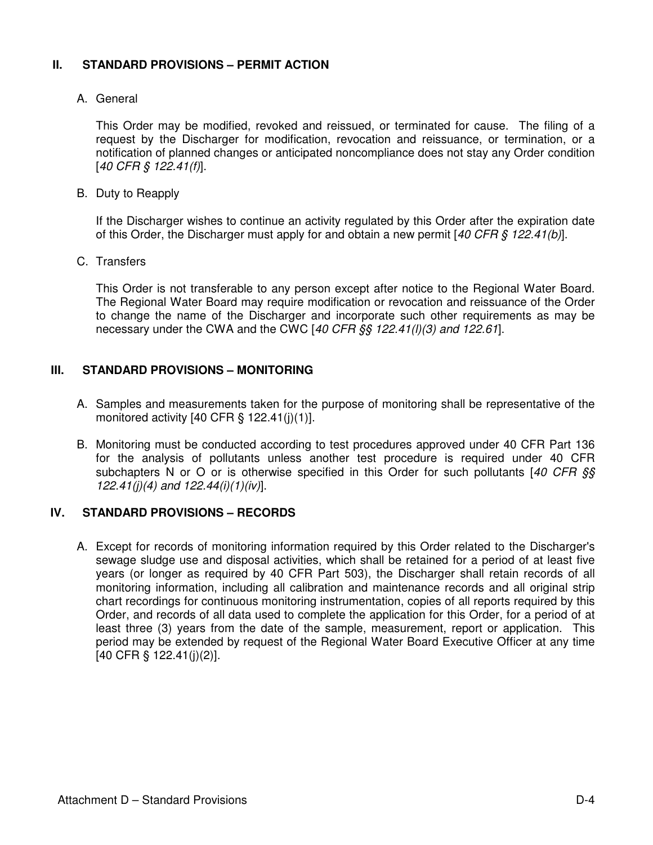# **II. STANDARD PROVISIONS – PERMIT ACTION**

# A. General

This Order may be modified, revoked and reissued, or terminated for cause. The filing of a request by the Discharger for modification, revocation and reissuance, or termination, or a notification of planned changes or anticipated noncompliance does not stay any Order condition [40 CFR § 122.41(f)].

B. Duty to Reapply

If the Discharger wishes to continue an activity regulated by this Order after the expiration date of this Order, the Discharger must apply for and obtain a new permit  $[40 CFR S 122.41(b)]$ .

C. Transfers

This Order is not transferable to any person except after notice to the Regional Water Board. The Regional Water Board may require modification or revocation and reissuance of the Order to change the name of the Discharger and incorporate such other requirements as may be necessary under the CWA and the CWC  $[40 \text{ CFR}$   $\S$ §  $122.41$ (I)(3) and 122.61].

### **III. STANDARD PROVISIONS – MONITORING**

- A. Samples and measurements taken for the purpose of monitoring shall be representative of the monitored activity  $[40 \text{ CFR} \text{S} 122.41(i)(1)].$
- B. Monitoring must be conducted according to test procedures approved under 40 CFR Part 136 for the analysis of pollutants unless another test procedure is required under 40 CFR subchapters N or O or is otherwise specified in this Order for such pollutants  $[40 \text{ CFR } \text{S} \text{S}$ 122.41(j)(4) and  $122.44(i)(1)(iv)$ .

### **IV. STANDARD PROVISIONS – RECORDS**

A. Except for records of monitoring information required by this Order related to the Discharger's sewage sludge use and disposal activities, which shall be retained for a period of at least five years (or longer as required by 40 CFR Part 503), the Discharger shall retain records of all monitoring information, including all calibration and maintenance records and all original strip chart recordings for continuous monitoring instrumentation, copies of all reports required by this Order, and records of all data used to complete the application for this Order, for a period of at least three (3) years from the date of the sample, measurement, report or application. This period may be extended by request of the Regional Water Board Executive Officer at any time [40 CFR § 122.41(j)(2)].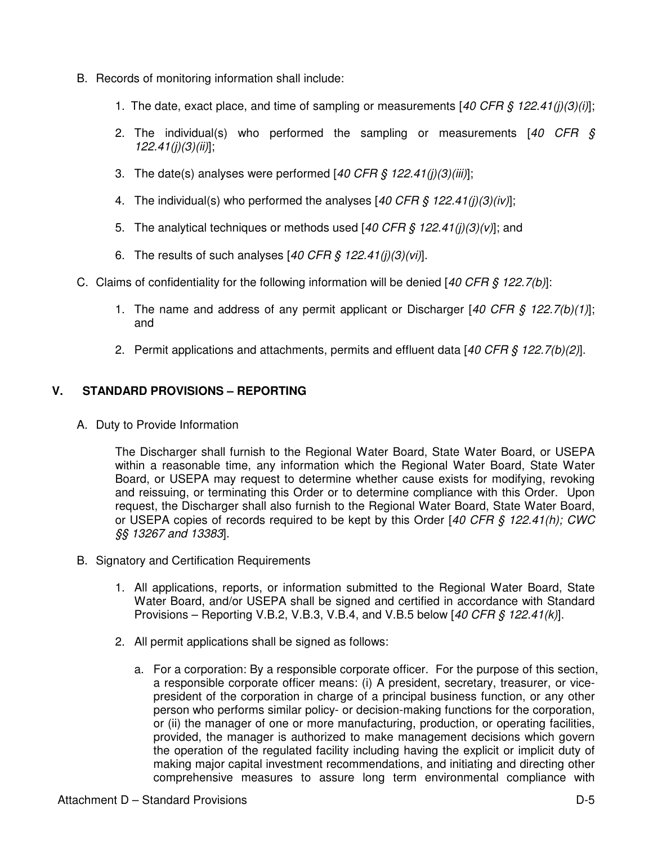- B. Records of monitoring information shall include:
	- 1. The date, exact place, and time of sampling or measurements  $[40 \text{ CFR} \text{ } \text{\$ } 122.41(j)(3)(i)]$ ;
	- 2. The individual(s) who performed the sampling or measurements  $[40 \text{ CFR } \S$  $122.41(j)(3)(ii)$ ;
	- 3. The date(s) analyses were performed  $[40 \text{ CFR} \text{ } \text{\textit{S}} \text{ } 122.41 \text{ } \text{ } (i)(3)(iii)];$
	- 4. The individual(s) who performed the analyses [40 CFR  $\frac{1}{2}$  122.41(j)(3)(iv)];
	- 5. The analytical techniques or methods used  $[40 \text{ CFR} \text{ } \text{ } $9 \text{ } 122.41(j)(3)(v)]$ ; and
	- 6. The results of such analyses  $[40 \text{ CFR} \text{ } \text{\$ } 122.41(j)(3)(vi)].$
- C. Claims of confidentiality for the following information will be denied  $[40 CFR \t{8} 122.7(b)]$ :
	- 1. The name and address of any permit applicant or Discharger [40 CFR  $\zeta$  122.7(b)(1)]; and
	- 2. Permit applications and attachments, permits and effluent data  $[40 CFR \S 122.7(b)(2)].$

### **V. STANDARD PROVISIONS – REPORTING**

A. Duty to Provide Information

The Discharger shall furnish to the Regional Water Board, State Water Board, or USEPA within a reasonable time, any information which the Regional Water Board, State Water Board, or USEPA may request to determine whether cause exists for modifying, revoking and reissuing, or terminating this Order or to determine compliance with this Order. Upon request, the Discharger shall also furnish to the Regional Water Board, State Water Board, or USEPA copies of records required to be kept by this Order [40 CFR § 122.41(h); CWC §§ 13267 and 13383].

- B. Signatory and Certification Requirements
	- 1. All applications, reports, or information submitted to the Regional Water Board, State Water Board, and/or USEPA shall be signed and certified in accordance with Standard Provisions – Reporting V.B.2, V.B.3, V.B.4, and V.B.5 below  $[40 \text{ CFR} \text{ § } 122.41/k]$ .
	- 2. All permit applications shall be signed as follows:
		- a. For a corporation: By a responsible corporate officer. For the purpose of this section, a responsible corporate officer means: (i) A president, secretary, treasurer, or vicepresident of the corporation in charge of a principal business function, or any other person who performs similar policy- or decision-making functions for the corporation, or (ii) the manager of one or more manufacturing, production, or operating facilities, provided, the manager is authorized to make management decisions which govern the operation of the regulated facility including having the explicit or implicit duty of making major capital investment recommendations, and initiating and directing other comprehensive measures to assure long term environmental compliance with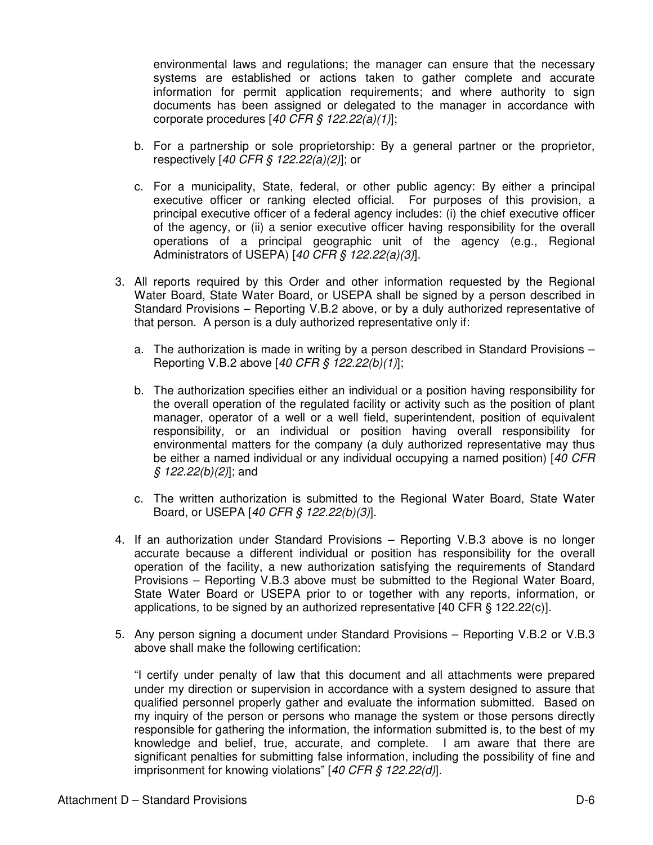environmental laws and regulations; the manager can ensure that the necessary systems are established or actions taken to gather complete and accurate information for permit application requirements; and where authority to sign documents has been assigned or delegated to the manager in accordance with corporate procedures  $[40 \text{ CFR } \frac{6}{5} \frac{122.22(a)}{1}$ ;

- b. For a partnership or sole proprietorship: By a general partner or the proprietor, respectively [40 CFR § 122.22(a)(2)]; or
- c. For a municipality, State, federal, or other public agency: By either a principal executive officer or ranking elected official. For purposes of this provision, a principal executive officer of a federal agency includes: (i) the chief executive officer of the agency, or (ii) a senior executive officer having responsibility for the overall operations of a principal geographic unit of the agency (e.g., Regional Administrators of USEPA) [40 CFR  $\frac{6}{5}$  122.22(a)(3)].
- 3. All reports required by this Order and other information requested by the Regional Water Board, State Water Board, or USEPA shall be signed by a person described in Standard Provisions – Reporting V.B.2 above, or by a duly authorized representative of that person. A person is a duly authorized representative only if:
	- a. The authorization is made in writing by a person described in Standard Provisions Reporting V.B.2 above [40 CFR § 122.22(b)(1)];
	- b. The authorization specifies either an individual or a position having responsibility for the overall operation of the regulated facility or activity such as the position of plant manager, operator of a well or a well field, superintendent, position of equivalent responsibility, or an individual or position having overall responsibility for environmental matters for the company (a duly authorized representative may thus be either a named individual or any individual occupying a named position) [40 CFR  $$ 122.22(b)(2)]$ ; and
	- c. The written authorization is submitted to the Regional Water Board, State Water Board, or USEPA [40 CFR § 122.22(b)(3)].
- 4. If an authorization under Standard Provisions Reporting V.B.3 above is no longer accurate because a different individual or position has responsibility for the overall operation of the facility, a new authorization satisfying the requirements of Standard Provisions – Reporting V.B.3 above must be submitted to the Regional Water Board, State Water Board or USEPA prior to or together with any reports, information, or applications, to be signed by an authorized representative [40 CFR § 122.22(c)].
- 5. Any person signing a document under Standard Provisions Reporting V.B.2 or V.B.3 above shall make the following certification:

"I certify under penalty of law that this document and all attachments were prepared under my direction or supervision in accordance with a system designed to assure that qualified personnel properly gather and evaluate the information submitted. Based on my inquiry of the person or persons who manage the system or those persons directly responsible for gathering the information, the information submitted is, to the best of my knowledge and belief, true, accurate, and complete. I am aware that there are significant penalties for submitting false information, including the possibility of fine and imprisonment for knowing violations" [40 CFR § 122.22(d)].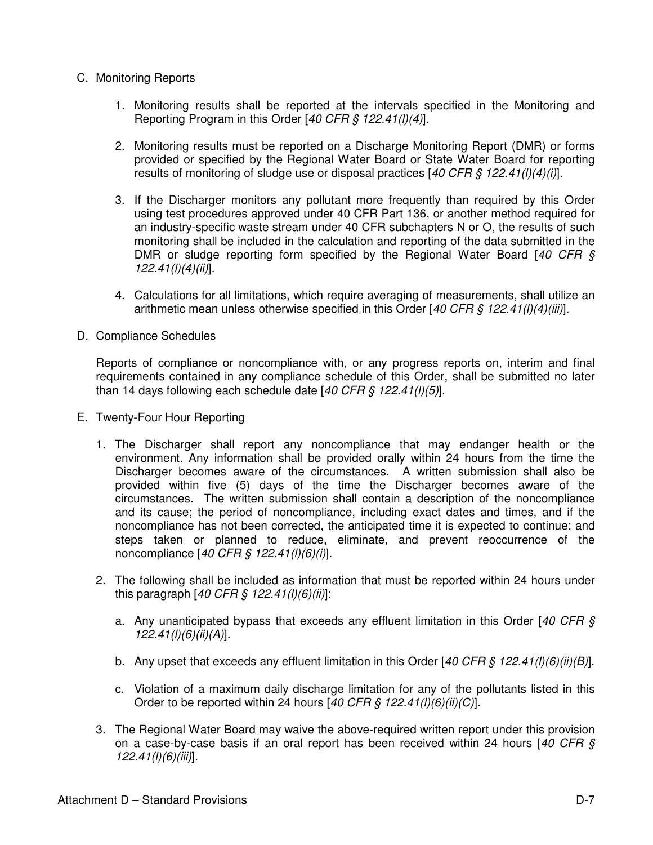- C. Monitoring Reports
	- 1. Monitoring results shall be reported at the intervals specified in the Monitoring and Reporting Program in this Order [40 CFR  $\frac{6}{5}$  122.41(l)(4)].
	- 2. Monitoring results must be reported on a Discharge Monitoring Report (DMR) or forms provided or specified by the Regional Water Board or State Water Board for reporting results of monitoring of sludge use or disposal practices [40 CFR  $\frac{22.41}{10(4)}$
	- 3. If the Discharger monitors any pollutant more frequently than required by this Order using test procedures approved under 40 CFR Part 136, or another method required for an industry-specific waste stream under 40 CFR subchapters N or O, the results of such monitoring shall be included in the calculation and reporting of the data submitted in the DMR or sludge reporting form specified by the Regional Water Board  $[40 \text{ CFR } \text{S}$  $122.41(l)(4)(ii)$ ].
	- 4. Calculations for all limitations, which require averaging of measurements, shall utilize an arithmetic mean unless otherwise specified in this Order [40 CFR § 122.41(l)(4)(iii)].
- D. Compliance Schedules

Reports of compliance or noncompliance with, or any progress reports on, interim and final requirements contained in any compliance schedule of this Order, shall be submitted no later than 14 days following each schedule date  $[40 \text{ CFR} \text{ } \text{\textit{S}} \text{ } 122.41 \text{ } \text{ } 10 \text{ } 15 \text{]}$ .

- E. Twenty-Four Hour Reporting
	- 1. The Discharger shall report any noncompliance that may endanger health or the environment. Any information shall be provided orally within 24 hours from the time the Discharger becomes aware of the circumstances. A written submission shall also be provided within five (5) days of the time the Discharger becomes aware of the circumstances. The written submission shall contain a description of the noncompliance and its cause; the period of noncompliance, including exact dates and times, and if the noncompliance has not been corrected, the anticipated time it is expected to continue; and steps taken or planned to reduce, eliminate, and prevent reoccurrence of the noncompliance [40 CFR § 122.41(l)(6)(i)].
	- 2. The following shall be included as information that must be reported within 24 hours under this paragraph  $[40 \text{ CFR} \, \text{\textit{S}} \, 122.41 \, \text{(I)} \, \text{(6)} \, \text{(ii)}]$ :
		- a. Any unanticipated bypass that exceeds any effluent limitation in this Order  $[40 \text{ CFR } \text{S}$ 122.41(l)(6)(ii)(A)].
		- b. Any upset that exceeds any effluent limitation in this Order  $[40 CFR \frac{S}{S} 122.41(I)(6)(ii)(B)].$
		- c. Violation of a maximum daily discharge limitation for any of the pollutants listed in this Order to be reported within 24 hours  $[40 \text{ CFR}$  §  $122.41(l)(6)(ii)(C)].$
	- 3. The Regional Water Board may waive the above-required written report under this provision on a case-by-case basis if an oral report has been received within 24 hours  $[40 \text{ CFR } \text{S}]$ 122.41(l)(6)(iii)].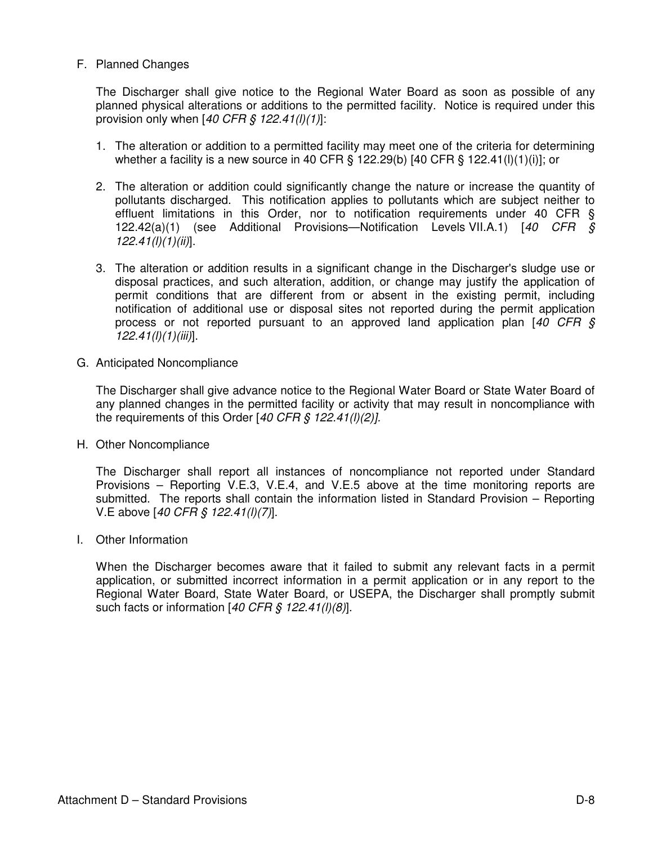### F. Planned Changes

The Discharger shall give notice to the Regional Water Board as soon as possible of any planned physical alterations or additions to the permitted facility. Notice is required under this provision only when  $[40 \text{ CFR}$  \$  $122.41 \frac{I}{I}$ :

- 1. The alteration or addition to a permitted facility may meet one of the criteria for determining whether a facility is a new source in 40 CFR § 122.29(b) [40 CFR § 122.41(l)(1)(i)]; or
- 2. The alteration or addition could significantly change the nature or increase the quantity of pollutants discharged. This notification applies to pollutants which are subject neither to effluent limitations in this Order, nor to notification requirements under 40 CFR § 122.42(a)(1) (see Additional Provisions—Notification Levels VII.A.1) [40 CFR §  $122.41(l)(1)(ii)$ ].
- 3. The alteration or addition results in a significant change in the Discharger's sludge use or disposal practices, and such alteration, addition, or change may justify the application of permit conditions that are different from or absent in the existing permit, including notification of additional use or disposal sites not reported during the permit application process or not reported pursuant to an approved land application plan  $[40 \text{ CFR } \text{S}$  $122.41(l)(1)(iii)$ ].
- G. Anticipated Noncompliance

The Discharger shall give advance notice to the Regional Water Board or State Water Board of any planned changes in the permitted facility or activity that may result in noncompliance with the requirements of this Order  $[40 \text{ CFR}$  \$  $122.41 \frac{I}{I}(2)]$ .

H. Other Noncompliance

The Discharger shall report all instances of noncompliance not reported under Standard Provisions – Reporting V.E.3, V.E.4, and V.E.5 above at the time monitoring reports are submitted. The reports shall contain the information listed in Standard Provision – Reporting V.E above [40 CFR § 122.41(l)(7)].

I. Other Information

When the Discharger becomes aware that it failed to submit any relevant facts in a permit application, or submitted incorrect information in a permit application or in any report to the Regional Water Board, State Water Board, or USEPA, the Discharger shall promptly submit such facts or information  $[40 \text{ CFR}$  §  $122.41 \text{ (I)}(8)]$ .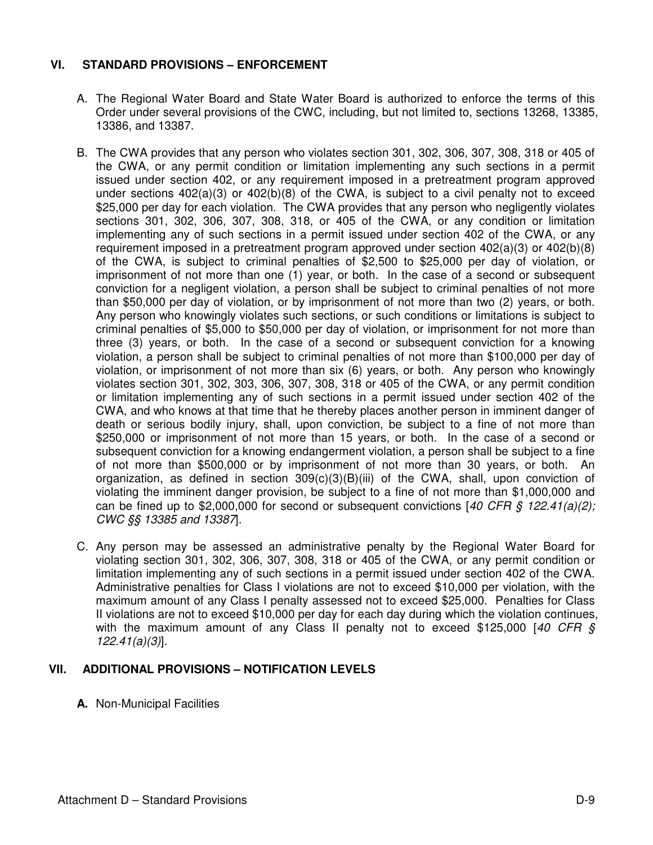# **VI. STANDARD PROVISIONS – ENFORCEMENT**

- A. The Regional Water Board and State Water Board is authorized to enforce the terms of this Order under several provisions of the CWC, including, but not limited to, sections 13268, 13385, 13386, and 13387.
- B. The CWA provides that any person who violates section 301, 302, 306, 307, 308, 318 or 405 of the CWA, or any permit condition or limitation implementing any such sections in a permit issued under section 402, or any requirement imposed in a pretreatment program approved under sections 402(a)(3) or 402(b)(8) of the CWA, is subject to a civil penalty not to exceed \$25,000 per day for each violation. The CWA provides that any person who negligently violates sections 301, 302, 306, 307, 308, 318, or 405 of the CWA, or any condition or limitation implementing any of such sections in a permit issued under section 402 of the CWA, or any requirement imposed in a pretreatment program approved under section  $402(a)(3)$  or  $402(b)(8)$ of the CWA, is subject to criminal penalties of \$2,500 to \$25,000 per day of violation, or imprisonment of not more than one (1) year, or both. In the case of a second or subsequent conviction for a negligent violation, a person shall be subject to criminal penalties of not more than \$50,000 per day of violation, or by imprisonment of not more than two (2) years, or both. Any person who knowingly violates such sections, or such conditions or limitations is subject to criminal penalties of \$5,000 to \$50,000 per day of violation, or imprisonment for not more than three (3) years, or both. In the case of a second or subsequent conviction for a knowing violation, a person shall be subject to criminal penalties of not more than \$100,000 per day of violation, or imprisonment of not more than six (6) years, or both. Any person who knowingly violates section 301, 302, 303, 306, 307, 308, 318 or 405 of the CWA, or any permit condition or limitation implementing any of such sections in a permit issued under section 402 of the CWA, and who knows at that time that he thereby places another person in imminent danger of death or serious bodily injury, shall, upon conviction, be subject to a fine of not more than \$250,000 or imprisonment of not more than 15 years, or both. In the case of a second or subsequent conviction for a knowing endangerment violation, a person shall be subject to a fine of not more than \$500,000 or by imprisonment of not more than 30 years, or both. An organization, as defined in section 309(c)(3)(B)(iii) of the CWA, shall, upon conviction of violating the imminent danger provision, be subject to a fine of not more than \$1,000,000 and can be fined up to \$2,000,000 for second or subsequent convictions  $[40 \text{ CFR } \text{S } 122.41(a)/2]$ ; CWC §§ 13385 and 13387].
- C. Any person may be assessed an administrative penalty by the Regional Water Board for violating section 301, 302, 306, 307, 308, 318 or 405 of the CWA, or any permit condition or limitation implementing any of such sections in a permit issued under section 402 of the CWA. Administrative penalties for Class I violations are not to exceed \$10,000 per violation, with the maximum amount of any Class I penalty assessed not to exceed \$25,000. Penalties for Class II violations are not to exceed \$10,000 per day for each day during which the violation continues, with the maximum amount of any Class II penalty not to exceed \$125,000 [40 CFR  $\S$ 122.41(a)(3)].

# **VII. ADDITIONAL PROVISIONS – NOTIFICATION LEVELS**

**A.** Non-Municipal Facilities